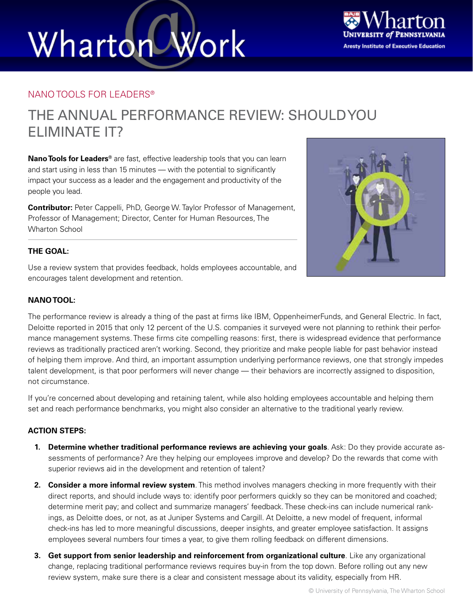# Work Wharton



### NANO TOOLS FOR LEADERS®

### THE ANNUAL PERFORMANCE REVIEW: SHOULD YOU ELIMINATE IT?

**Nano Tools for Leaders®** are fast, effective leadership tools that you can learn and start using in less than 15 minutes — with the potential to significantly impact your success as a leader and the engagement and productivity of the people you lead.

**Contributor:** Peter Cappelli, PhD, George W. Taylor Professor of Management, Professor of Management; Director, Center for Human Resources, The Wharton School



### **THE GOAL:**

Use a review system that provides feedback, holds employees accountable, and encourages talent development and retention.

### **NANO TOOL:**

The performance review is already a thing of the past at firms like IBM, OppenheimerFunds, and General Electric. In fact, Deloitte reported in 2015 that only 12 percent of the U.S. companies it surveyed were not planning to rethink their performance management systems. These firms cite compelling reasons: first, there is widespread evidence that performance reviews as traditionally practiced aren't working. Second, they prioritize and make people liable for past behavior instead of helping them improve. And third, an important assumption underlying performance reviews, one that strongly impedes talent development, is that poor performers will never change — their behaviors are incorrectly assigned to disposition, not circumstance.

If you're concerned about developing and retaining talent, while also holding employees accountable and helping them set and reach performance benchmarks, you might also consider an alternative to the traditional yearly review.

#### **ACTION STEPS:**

- **1. Determine whether traditional performance reviews are achieving your goals**. Ask: Do they provide accurate assessments of performance? Are they helping our employees improve and develop? Do the rewards that come with superior reviews aid in the development and retention of talent?
- **2. Consider a more informal review system**. This method involves managers checking in more frequently with their direct reports, and should include ways to: identify poor performers quickly so they can be monitored and coached; determine merit pay; and collect and summarize managers' feedback. These check-ins can include numerical rankings, as Deloitte does, or not, as at Juniper Systems and Cargill. At Deloitte, a new model of frequent, informal check-ins has led to more meaningful discussions, deeper insights, and greater employee satisfaction. It assigns employees several numbers four times a year, to give them rolling feedback on different dimensions.
- **3. Get support from senior leadership and reinforcement from organizational culture**. Like any organizational change, replacing traditional performance reviews requires buy-in from the top down. Before rolling out any new review system, make sure there is a clear and consistent message about its validity, especially from HR.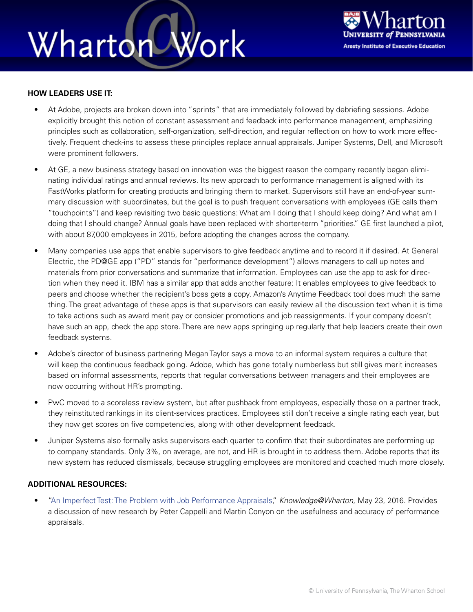## Wharton Work



#### **HOW LEADERS USE IT:**

- At Adobe, projects are broken down into "sprints" that are immediately followed by debriefing sessions. Adobe explicitly brought this notion of constant assessment and feedback into performance management, emphasizing principles such as collaboration, self-organization, self-direction, and regular reflection on how to work more effectively. Frequent check-ins to assess these principles replace annual appraisals. Juniper Systems, Dell, and Microsoft were prominent followers.
- At GE, a new business strategy based on innovation was the biggest reason the company recently began eliminating individual ratings and annual reviews. Its new approach to performance management is aligned with its FastWorks platform for creating products and bringing them to market. Supervisors still have an end-of-year summary discussion with subordinates, but the goal is to push frequent conversations with employees (GE calls them "touchpoints") and keep revisiting two basic questions: What am I doing that I should keep doing? And what am I doing that I should change? Annual goals have been replaced with shorter-term "priorities." GE first launched a pilot, with about 87,000 employees in 2015, before adopting the changes across the company.
- Many companies use apps that enable supervisors to give feedback anytime and to record it if desired. At General Electric, the PD@GE app ("PD" stands for "performance development") allows managers to call up notes and materials from prior conversations and summarize that information. Employees can use the app to ask for direction when they need it. IBM has a similar app that adds another feature: It enables employees to give feedback to peers and choose whether the recipient's boss gets a copy. Amazon's Anytime Feedback tool does much the same thing. The great advantage of these apps is that supervisors can easily review all the discussion text when it is time to take actions such as award merit pay or consider promotions and job reassignments. If your company doesn't have such an app, check the app store. There are new apps springing up regularly that help leaders create their own feedback systems.
- Adobe's director of business partnering Megan Taylor says a move to an informal system requires a culture that will keep the continuous feedback going. Adobe, which has gone totally numberless but still gives merit increases based on informal assessments, reports that regular conversations between managers and their employees are now occurring without HR's prompting.
- PwC moved to a scoreless review system, but after pushback from employees, especially those on a partner track, they reinstituted rankings in its client-services practices. Employees still don't receive a single rating each year, but they now get scores on five competencies, along with other development feedback.
- Juniper Systems also formally asks supervisors each quarter to confirm that their subordinates are performing up to company standards. Only 3%, on average, are not, and HR is brought in to address them. Adobe reports that its new system has reduced dismissals, because struggling employees are monitored and coached much more closely.

### **ADDITIONAL RESOURCES:**

• ["An Imperfect Test: The Problem with Job Performance Appraisals,"](http://knowledge.wharton.upenn.edu/article/the-problem-with-job-performance-appraisals/) *Knowledge@Wharton*, May 23, 2016. Provides a discussion of new research by Peter Cappelli and Martin Conyon on the usefulness and accuracy of performance appraisals.